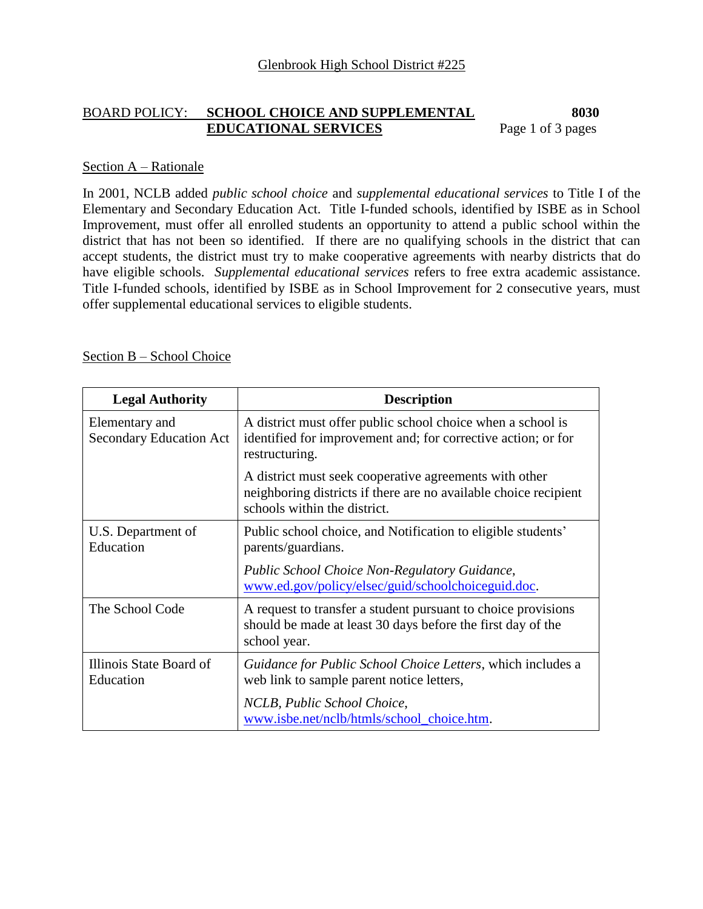### BOARD POLICY: **SCHOOL CHOICE AND SUPPLEMENTAL 8030 EDUCATIONAL SERVICES** Page 1 of 3 pages

#### Section A – Rationale

In 2001, NCLB added *public school choice* and *supplemental educational services* to Title I of the Elementary and Secondary Education Act. Title I-funded schools, identified by ISBE as in School Improvement, must offer all enrolled students an opportunity to attend a public school within the district that has not been so identified. If there are no qualifying schools in the district that can accept students, the district must try to make cooperative agreements with nearby districts that do have eligible schools. *Supplemental educational services* refers to free extra academic assistance. Title I-funded schools, identified by ISBE as in School Improvement for 2 consecutive years, must offer supplemental educational services to eligible students.

### Section B – School Choice

| <b>Legal Authority</b>                           | <b>Description</b>                                                                                                                                         |
|--------------------------------------------------|------------------------------------------------------------------------------------------------------------------------------------------------------------|
| Elementary and<br><b>Secondary Education Act</b> | A district must offer public school choice when a school is<br>identified for improvement and; for corrective action; or for<br>restructuring.             |
|                                                  | A district must seek cooperative agreements with other<br>neighboring districts if there are no available choice recipient<br>schools within the district. |
| U.S. Department of<br>Education                  | Public school choice, and Notification to eligible students'<br>parents/guardians.                                                                         |
|                                                  | Public School Choice Non-Regulatory Guidance,<br>www.ed.gov/policy/elsec/guid/schoolchoiceguid.doc.                                                        |
| The School Code                                  | A request to transfer a student pursuant to choice provisions<br>should be made at least 30 days before the first day of the<br>school year.               |
| Illinois State Board of<br>Education             | Guidance for Public School Choice Letters, which includes a<br>web link to sample parent notice letters,                                                   |
|                                                  | NCLB, Public School Choice,<br>www.isbe.net/nclb/htmls/school choice.htm.                                                                                  |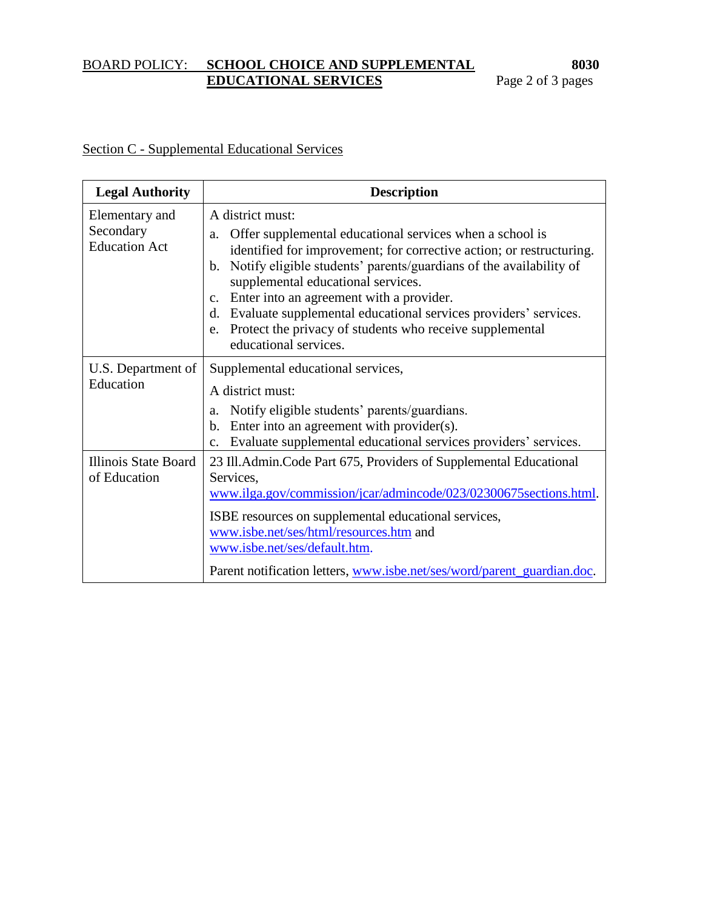## BOARD POLICY: **SCHOOL CHOICE AND SUPPLEMENTAL 8030 EDUCATIONAL SERVICES** Page 2 of 3 pages

# Section C - Supplemental Educational Services

| <b>Legal Authority</b>                              | <b>Description</b>                                                                                                                                                                                                                                                                                                                                                                                                                                                                                                   |
|-----------------------------------------------------|----------------------------------------------------------------------------------------------------------------------------------------------------------------------------------------------------------------------------------------------------------------------------------------------------------------------------------------------------------------------------------------------------------------------------------------------------------------------------------------------------------------------|
| Elementary and<br>Secondary<br><b>Education Act</b> | A district must:<br>Offer supplemental educational services when a school is<br>a.<br>identified for improvement; for corrective action; or restructuring.<br>Notify eligible students' parents/guardians of the availability of<br>$\mathbf{b}$ .<br>supplemental educational services.<br>Enter into an agreement with a provider.<br>$c_{\cdot}$<br>d. Evaluate supplemental educational services providers' services.<br>Protect the privacy of students who receive supplemental<br>e.<br>educational services. |
| U.S. Department of<br>Education                     | Supplemental educational services,<br>A district must:<br>Notify eligible students' parents/guardians.<br>a.<br>Enter into an agreement with provider(s).<br>b.<br>Evaluate supplemental educational services providers' services.<br>$\mathbf{c}$ .                                                                                                                                                                                                                                                                 |
| Illinois State Board<br>of Education                | 23 Ill. Admin. Code Part 675, Providers of Supplemental Educational<br>Services,<br>www.ilga.gov/commission/jcar/admincode/023/02300675 sections.html.<br>ISBE resources on supplemental educational services,<br>www.isbe.net/ses/html/resources.htm and<br>www.isbe.net/ses/default.htm.<br>Parent notification letters, www.isbe.net/ses/word/parent_guardian.doc.                                                                                                                                                |